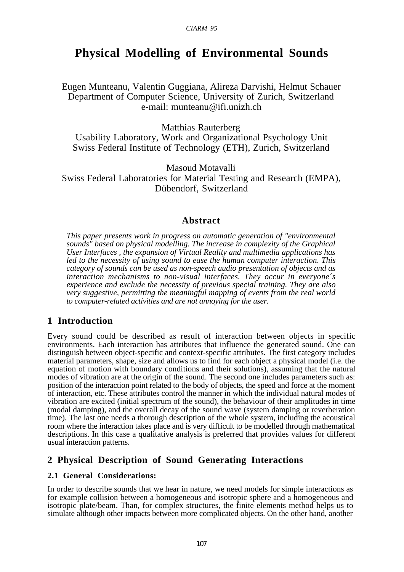# **Physical Modelling of Environmental Sounds**

Eugen Munteanu, Valentin Guggiana, Alireza Darvishi, Helmut Schauer Department of Computer Science, University of Zurich, Switzerland e-mail: munteanu@ifi.unizh.ch

Matthias Rauterberg Usability Laboratory, Work and Organizational Psychology Unit Swiss Federal Institute of Technology (ETH), Zurich, Switzerland

Masoud Motavalli Swiss Federal Laboratories for Material Testing and Research (EMPA), Dübendorf, Switzerland

# **Abstract**

*This paper presents work in progress on automatic generation of "environmental sounds" based on physical modelling. The increase in complexity of the Graphical User Interfaces , the expansion of Virtual Reality and multimedia applications has led to the necessity of using sound to ease the human computer interaction. This category of sounds can be used as non-speech audio presentation of objects and as interaction mechanisms to non-visual interfaces. They occur in everyone´s experience and exclude the necessity of previous special training. They are also very suggestive, permitting the meaningful mapping of events from the real world to computer-related activities and are not annoying for the user.*

# **1 Introduction**

Every sound could be described as result of interaction between objects in specific environments. Each interaction has attributes that influence the generated sound. One can distinguish between object-specific and context-specific attributes. The first category includes material parameters, shape, size and allows us to find for each object a physical model (i.e. the equation of motion with boundary conditions and their solutions), assuming that the natural modes of vibration are at the origin of the sound. The second one includes parameters such as: position of the interaction point related to the body of objects, the speed and force at the moment of interaction, etc. These attributes control the manner in which the individual natural modes of vibration are excited (initial spectrum of the sound), the behaviour of their amplitudes in time (modal damping), and the overall decay of the sound wave (system damping or reverberation time). The last one needs a thorough description of the whole system, including the acoustical room where the interaction takes place and is very difficult to be modelled through mathematical descriptions. In this case a qualitative analysis is preferred that provides values for different usual interaction patterns.

# **2 Physical Description of Sound Generating Interactions**

#### **2.1 General Considerations:**

In order to describe sounds that we hear in nature, we need models for simple interactions as for example collision between a homogeneous and isotropic sphere and a homogeneous and isotropic plate/beam. Than, for complex structures, the finite elements method helps us to simulate although other impacts between more complicated objects. On the other hand, another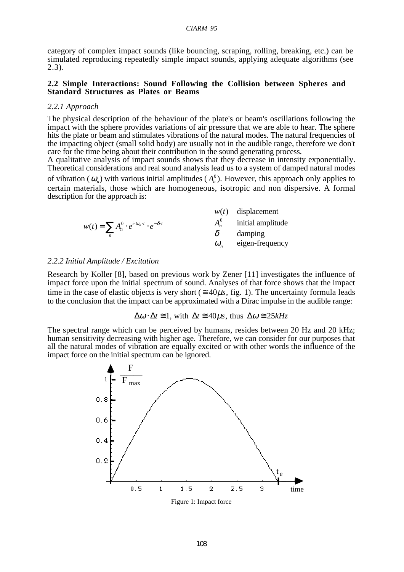category of complex impact sounds (like bouncing, scraping, rolling, breaking, etc.) can be simulated reproducing repeatedly simple impact sounds, applying adequate algorithms (see 2.3).

#### **2.2 Simple Interactions: Sound Following the Collision between Spheres and Standard Structures as Plates or Beams**

#### *2.2.1 Approach*

The physical description of the behaviour of the plate's or beam's oscillations following the impact with the sphere provides variations of air pressure that we are able to hear. The sphere hits the plate or beam and stimulates vibrations of the natural modes. The natural frequencies of the impacting object (small solid body) are usually not in the audible range, therefore we don't care for the time being about their contribution in the sound generating process.

A qualitative analysis of impact sounds shows that they decrease in intensity exponentially. Theoretical considerations and real sound analysis lead us to a system of damped natural modes of vibration ( $\omega_n$ ) with various initial amplitudes ( $A_n^0$ ). However, this approach only applies to certain materials, those which are homogeneous, isotropic and non dispersive. A formal description for the approach is:

*w*(*t*) displacement

$$
w(t) = \sum_{n} A_n^0 \cdot e^{i \cdot \omega_n \cdot t} \cdot e^{-\delta \cdot t}
$$
\n
$$
w(t) \quad \text{displacement}
$$
\n
$$
A_n^0 \quad \text{initial amplitude}
$$
\n
$$
\delta \quad \text{damping}
$$
\n
$$
\omega_n \quad \text{eigen-frequency}
$$

#### *2.2.2 Initial Amplitude / Excitation*

Research by Koller [8], based on previous work by Zener [11] investigates the influence of impact force upon the initial spectrum of sound. Analyses of that force shows that the impact time in the case of elastic objects is very short ( $\approx 40\mu s$ , fig. 1). The uncertainty formula leads to the conclusion that the impact can be approximated with a Dirac impulse in the audible range:

$$
\Delta \omega \cdot \Delta t \equiv 1
$$
, with  $\Delta t \equiv 40\mu s$ , thus  $\Delta \omega \equiv 25kHz$ 

The spectral range which can be perceived by humans, resides between 20 Hz and 20 kHz; human sensitivity decreasing with higher age. Therefore, we can consider for our purposes that all the natural modes of vibration are equally excited or with other words the influence of the impact force on the initial spectrum can be ignored.

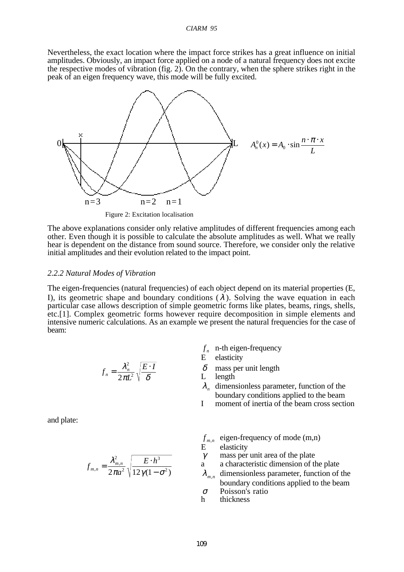Nevertheless, the exact location where the impact force strikes has a great influence on initial amplitudes. Obviously, an impact force applied on a node of a natural frequency does not excite the respective modes of vibration (fig. 2). On the contrary, when the sphere strikes right in the peak of an eigen frequency wave, this mode will be fully excited.



Figure 2: Excitation localisation

The above explanations consider only relative amplitudes of different frequencies among each other. Even though it is possible to calculate the absolute amplitudes as well. What we really hear is dependent on the distance from sound source. Therefore, we consider only the relative initial amplitudes and their evolution related to the impact point.

#### *2.2.2 Natural Modes of Vibration*

The eigen-frequencies (natural frequencies) of each object depend on its material properties (E, I), its geometric shape and boundary conditions  $(\lambda)$ . Solving the wave equation in each particular case allows description of simple geometric forms like plates, beams, rings, shells, etc.[1]. Complex geometric forms however require decomposition in simple elements and intensive numeric calculations. As an example we present the natural frequencies for the case of beam:

$$
f_n = \frac{\lambda_n^2}{2\pi L^2} \sqrt{\frac{E \cdot I}{\delta}}
$$

- $f_n$  n-th eigen-frequency
- E elasticity
- $\delta$ <sup>'</sup> mass per unit length
- L length
- $\lambda_n$  dimensionless parameter, function of the boundary conditions applied to the beam
- I moment of inertia of the beam cross section

and plate:

$$
f_{m,n} = \frac{\lambda_{m,n}^2}{2\pi a^2} \sqrt{\frac{E \cdot h^3}{12\gamma(1-\sigma^2)}}
$$

- $f_{m,n}$  eigen-frequency of mode (m,n)<br>E elasticity
- elasticity
- $\gamma$  mass per unit area of the plate
- a a characteristic dimension of the plate
- <sup>λ</sup> *<sup>m</sup>*,*<sup>n</sup>* dimensionless parameter, function of the boundary conditions applied to the beam
- <sup>σ</sup> Poisson's ratio
- h thickness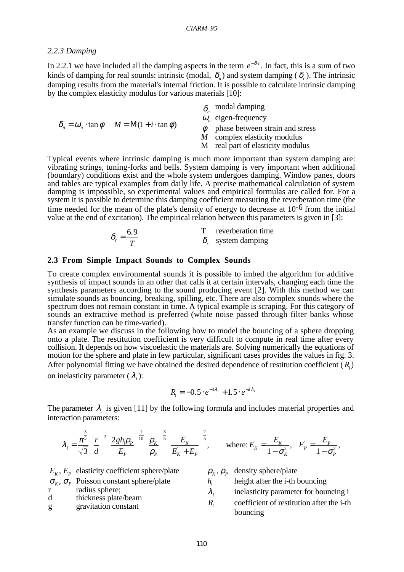#### *2.2.3 Damping*

In 2.2.1 we have included all the damping aspects in the term  $e^{-\delta t}$ . In fact, this is a sum of two kinds of damping for real sounds: intrinsic (modal,  $\delta_n$ ) and system damping ( $\delta_n$ ). The intrinsic damping results from the material's internal friction. It is possible to calculate intrinsic damping by the complex elasticity modulus for various materials [10]:

| $\delta_{n} = \omega_{n} \cdot \tan \phi$ $M = M(1 + i \cdot \tan \phi)$ | $\delta$ modal damping            |
|--------------------------------------------------------------------------|-----------------------------------|
|                                                                          | $\omega_{n}$ eigen-frequency      |
|                                                                          | phase between strain and stress   |
|                                                                          | $M$ complex elasticity modulus    |
|                                                                          | M real part of elasticity modulus |

Typical events where intrinsic damping is much more important than system damping are: vibrating strings, tuning-forks and bells. System damping is very important when additional (boundary) conditions exist and the whole system undergoes damping. Window panes, doors and tables are typical examples from daily life. A precise mathematical calculation of system damping is impossible, so experimental values and empirical formulas are called for. For a system it is possible to determine this damping coefficient measuring the reverberation time (the time needed for the mean of the plate's density of energy to decrease at  $10^{-6}$  from the initial value at the end of excitation). The empirical relation between this parameters is given in [3]:

| - 6.9 | reverberation time        |
|-------|---------------------------|
|       | $\delta$ , system damping |

#### **2.3 From Simple Impact Sounds to Complex Sounds**

To create complex environmental sounds it is possible to imbed the algorithm for additive synthesis of impact sounds in an other that calls it at certain intervals, changing each time the synthesis parameters according to the sound producing event [2]. With this method we can simulate sounds as bouncing, breaking, spilling, etc. There are also complex sounds where the spectrum does not remain constant in time. A typical example is scraping. For this category of sounds an extractive method is preferred (white noise passed through filter banks whose transfer function can be time-varied).

As an example we discuss in the following how to model the bouncing of a sphere dropping onto a plate. The restitution coefficient is very difficult to compute in real time after every collision. It depends on how viscoelastic the materials are. Solving numerically the equations of motion for the sphere and plate in few particular, significant cases provides the values in fig. 3. After polynomial fitting we have obtained the desired dependence of restitution coefficient ( *Ri*) on inelasticity parameter ( <sup>λ</sup>*i*):

$$
R_i = -0.5 \cdot e^{-3\lambda_i} + 1.5 \cdot e^{-2\lambda_i}
$$

The parameter  $\lambda_i$  is given [11] by the following formula and includes material properties and interaction parameters:

$$
\lambda_{i} = \frac{\pi^{\frac{3}{5}}}{\sqrt{3}} \left(\frac{r}{d}\right)^{2} \left(\frac{2gh_{i}\rho_{p}}{E_{p}}\right)^{\frac{1}{10}} \left(\frac{\rho_{K}}{\rho_{p}}\right)^{\frac{3}{5}} \left(\frac{E_{K}}{E_{K}+E_{p}}\right)^{\frac{2}{5}}, \quad \text{where: } E_{K} = \frac{E_{K}}{1-\sigma_{K}^{2}}, \quad E_{p} = \frac{E_{p}}{1-\sigma_{p}^{2}},
$$

|        | $E_{\kappa}$ , $E_{\rho}$ elasticity coefficient sphere/plate     |                        | $\rho_{k}, \rho_{p}$ density sphere/plate                                                      |
|--------|-------------------------------------------------------------------|------------------------|------------------------------------------------------------------------------------------------|
|        | $\sigma_{\kappa}$ , $\sigma_{\rho}$ Poisson constant sphere/plate | $h_{\cdot}$            | height after the <i>i</i> -th bouncing                                                         |
| d<br>g | radius sphere;<br>thickness plate/beam<br>gravitation constant    | $\lambda_{\tau}$<br>R, | inelasticity parameter for bouncing i<br>coefficient of restitution after the i-th<br>bouncing |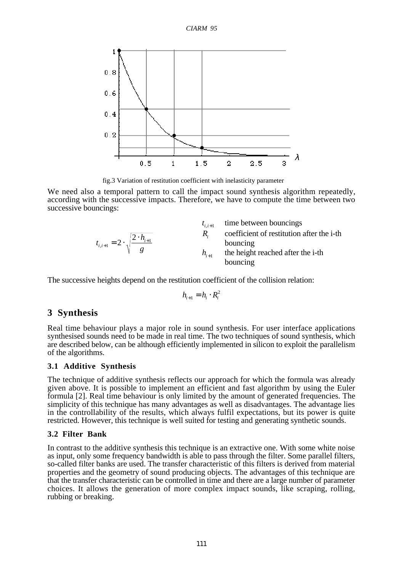

fig.3 Variation of restitution coefficient with inelasticity parameter

We need also a temporal pattern to call the impact sound synthesis algorithm repeatedly, according with the successive impacts. Therefore, we have to compute the time between two successive bouncings:

|                                                        | $t_{i,i+1}$ | time between bouncings                    |
|--------------------------------------------------------|-------------|-------------------------------------------|
|                                                        | $R_{\cdot}$ | coefficient of restitution after the i-th |
| $t_{i,i+1} = 2 \cdot \sqrt{\frac{2 \cdot h_{i+1}}{g}}$ |             | bouncing                                  |
|                                                        | $h_{i+1}$   | the height reached after the i-th         |
|                                                        |             | bouncing                                  |

The successive heights depend on the restitution coefficient of the collision relation:

$$
h_{i+1} = h_i \cdot R_i^2
$$

# **3 Synthesis**

Real time behaviour plays a major role in sound synthesis. For user interface applications synthesised sounds need to be made in real time. The two techniques of sound synthesis, which are described below, can be although efficiently implemented in silicon to exploit the parallelism of the algorithms.

#### **3.1 Additive Synthesis**

The technique of additive synthesis reflects our approach for which the formula was already given above. It is possible to implement an efficient and fast algorithm by using the Euler formula [2]. Real time behaviour is only limited by the amount of generated frequencies. The simplicity of this technique has many advantages as well as disadvantages. The advantage lies in the controllability of the results, which always fulfil expectations, but its power is quite restricted. However, this technique is well suited for testing and generating synthetic sounds.

#### **3.2 Filter Bank**

In contrast to the additive synthesis this technique is an extractive one. With some white noise as input, only some frequency bandwidth is able to pass through the filter. Some parallel filters, so-called filter banks are used. The transfer characteristic of this filters is derived from material properties and the geometry of sound producing objects. The advantages of this technique are that the transfer characteristic can be controlled in time and there are a large number of parameter choices. It allows the generation of more complex impact sounds, like scraping, rolling, rubbing or breaking.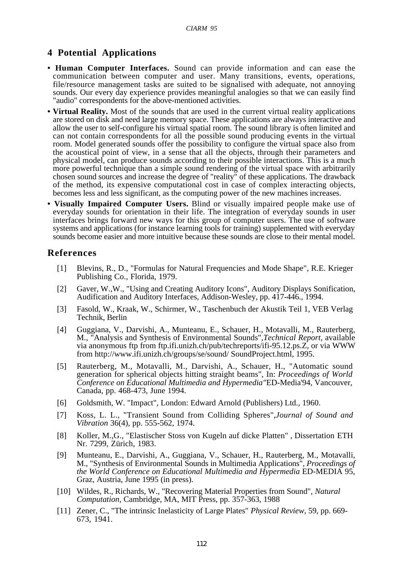# **4 Potential Applications**

- **Human Computer Interfaces.** Sound can provide information and can ease the communication between computer and user. Many transitions, events, operations, file/resource management tasks are suited to be signalised with adequate, not annoying sounds. Our every day experience provides meaningful analogies so that we can easily find "audio" correspondents for the above-mentioned activities.
- **Virtual Reality.** Most of the sounds that are used in the current virtual reality applications are stored on disk and need large memory space. These applications are always interactive and allow the user to self-configure his virtual spatial room. The sound library is often limited and can not contain correspondents for all the possible sound producing events in the virtual room. Model generated sounds offer the possibility to configure the virtual space also from the acoustical point of view, in a sense that all the objects, through their parameters and physical model, can produce sounds according to their possible interactions. This is a much more powerful technique than a simple sound rendering of the virtual space with arbitrarily chosen sound sources and increase the degree of "reality" of these applications. The drawback of the method, its expensive computational cost in case of complex interacting objects, becomes less and less significant, as the computing power of the new machines increases.
- **Visually Impaired Computer Users.** Blind or visually impaired people make use of everyday sounds for orientation in their life. The integration of everyday sounds in user interfaces brings forward new ways for this group of computer users. The use of software systems and applications (for instance learning tools for training) supplemented with everyday sounds become easier and more intuitive because these sounds are close to their mental model.

### **References**

- [1] Blevins, R., D., "Formulas for Natural Frequencies and Mode Shape", R.E. Krieger Publishing Co., Florida, 1979.
- [2] Gaver, W.,W., "Using and Creating Auditory Icons", Auditory Displays Sonification, Audification and Auditory Interfaces, Addison-Wesley, pp. 417-446., 1994.
- [3] Fasold, W., Kraak, W., Schirmer, W., Taschenbuch der Akustik Teil 1, VEB Verlag Technik, Berlin
- [4] Guggiana, V., Darvishi, A., Munteanu, E., Schauer, H., Motavalli, M., Rauterberg, M., "Analysis and Synthesis of Environmental Sounds",*Technical Report,* available via anonymous ftp from ftp.ifi.unizh.ch/pub/techreports/ifi-95.12.ps.Z, or via WWW from http://www.ifi.unizh.ch/groups/se/sound/ SoundProject.html, 1995.
- [5] Rauterberg, M., Motavalli, M., Darvishi, A., Schauer, H., "Automatic sound generation for spherical objects hitting straight beams", In: *Proceedings of World Conference on Educational Multimedia and Hypermedia"*ED-Media'94, Vancouver, Canada, pp. 468-473, June 1994.
- [6] Goldsmith, W. "Impact", London: Edward Arnold (Publishers) Ltd., 1960.
- [7] Koss, L. L., "Transient Sound from Colliding Spheres",*Journal of Sound and Vibration* 36(4), pp. 555-562, 1974.
- [8] Koller, M.,G., "Elastischer Stoss von Kugeln auf dicke Platten" *,* Dissertation ETH Nr. 7299, Zürich, 1983.
- [9] Munteanu, E., Darvishi, A., Guggiana, V., Schauer, H., Rauterberg, M., Motavalli, M., "Synthesis of Environmental Sounds in Multimedia Applications", *Proceedings of the World Conference on Educational Multimedia and Hypermedia* ED-MEDIA 95, Graz, Austria, June 1995 (in press).
- [10] Wildes, R., Richards, W., "Recovering Material Properties from Sound", *Natural Computation*, Cambridge, MA, MIT Press, pp. 357-363, 1988
- [11] Zener, C., "The intrinsic Inelasticity of Large Plates" *Physical Review*, 59, pp. 669- 673, 1941.